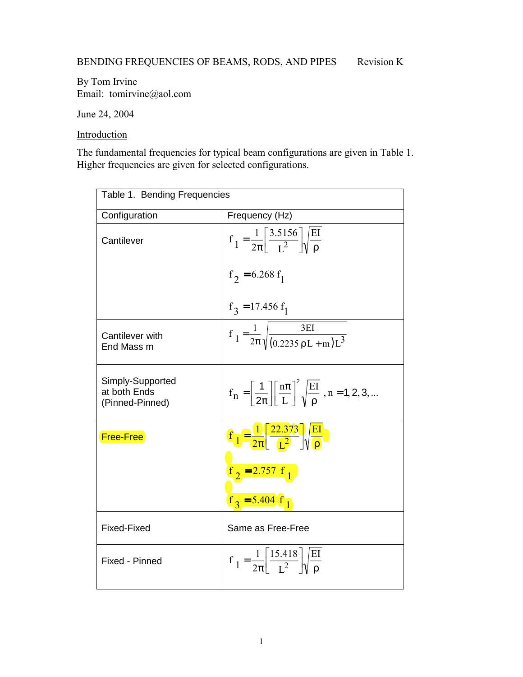By Tom Irvine Email: tomirvine@aol.com

June 24, 2004

**Introduction** 

The fundamental frequencies for typical beam configurations are given in Table 1. Higher frequencies are given for selected configurations.

| Table 1. Bending Frequencies                        |                                                                                                                                              |  |  |
|-----------------------------------------------------|----------------------------------------------------------------------------------------------------------------------------------------------|--|--|
| Configuration                                       | Frequency (Hz)                                                                                                                               |  |  |
| Cantilever                                          | $f_1 = \frac{1}{2\pi} \left( \frac{3.5156}{I^2} \right) \sqrt{\frac{EI}{\rho}}$                                                              |  |  |
|                                                     | $f_2 = 6.268 f_1$                                                                                                                            |  |  |
|                                                     | $f_3 = 17.456 f_1$                                                                                                                           |  |  |
| Cantilever with<br>End Mass m                       | $f_1 = \frac{1}{2\pi} \sqrt{\frac{3EI}{(0.2235 \rho L + m)L^3}}$                                                                             |  |  |
| Simply-Supported<br>at both Ends<br>(Pinned-Pinned) | $f_n = \left[\frac{1}{2\pi}\right] \left[\frac{n\pi}{L}\right]^2 \sqrt{\frac{EI}{\rho}}$ , n = 1, 2, 3,                                      |  |  |
| Free-Free                                           | $\textcircled{f_1} = \frac{1}{2\pi} \frac{\textcircled{f_2} \cdot \textcircled{f_3}}{\textcircled{f_2}} \frac{\text{E1}}{\textcircled{f_2}}$ |  |  |
|                                                     | $\frac{f(2) = 2.757 f(1)}{2}$<br>$f_2 = 5.404/f_1$                                                                                           |  |  |
|                                                     |                                                                                                                                              |  |  |
| Fixed-Fixed                                         | Same as Free-Free                                                                                                                            |  |  |
| Fixed - Pinned                                      | $f_1 = \frac{1}{2\pi} \left  \frac{15.418}{I^2} \right  \sqrt{\frac{EI}{\rho}}$                                                              |  |  |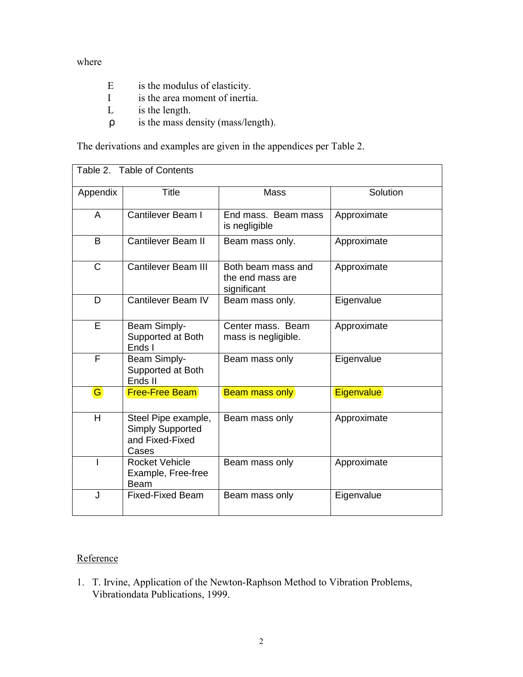where

- E is the modulus of elasticity.
- I is the area moment of inertia.
- L is the length.
- ρ is the mass density (mass/length).

The derivations and examples are given in the appendices per Table 2.

| Table 2. Table of Contents |                                                                            |                                                       |                   |
|----------------------------|----------------------------------------------------------------------------|-------------------------------------------------------|-------------------|
| Appendix                   | <b>Title</b>                                                               | <b>Mass</b>                                           | Solution          |
| A                          | Cantilever Beam I                                                          | End mass. Beam mass<br>is negligible                  | Approximate       |
| B                          | <b>Cantilever Beam II</b>                                                  | Beam mass only.                                       | Approximate       |
| $\mathsf{C}$               | <b>Cantilever Beam III</b>                                                 | Both beam mass and<br>the end mass are<br>significant | Approximate       |
| D                          | Cantilever Beam IV                                                         | Beam mass only.                                       | Eigenvalue        |
| E                          | Beam Simply-<br>Supported at Both<br>Ends I                                | Center mass. Beam<br>mass is negligible.              | Approximate       |
| F                          | Beam Simply-<br>Supported at Both<br>Ends II                               | Beam mass only                                        | Eigenvalue        |
| G)                         | Free-Free Beam                                                             | Beam mass only                                        | <b>Eigenvalue</b> |
| H                          | Steel Pipe example,<br><b>Simply Supported</b><br>and Fixed-Fixed<br>Cases | Beam mass only                                        | Approximate       |
|                            | <b>Rocket Vehicle</b><br>Example, Free-free<br>Beam                        | Beam mass only                                        | Approximate       |
| $\mathsf{J}$               | <b>Fixed-Fixed Beam</b>                                                    | Beam mass only                                        | Eigenvalue        |

## **Reference**

1. T. Irvine, Application of the Newton-Raphson Method to Vibration Problems, Vibrationdata Publications, 1999.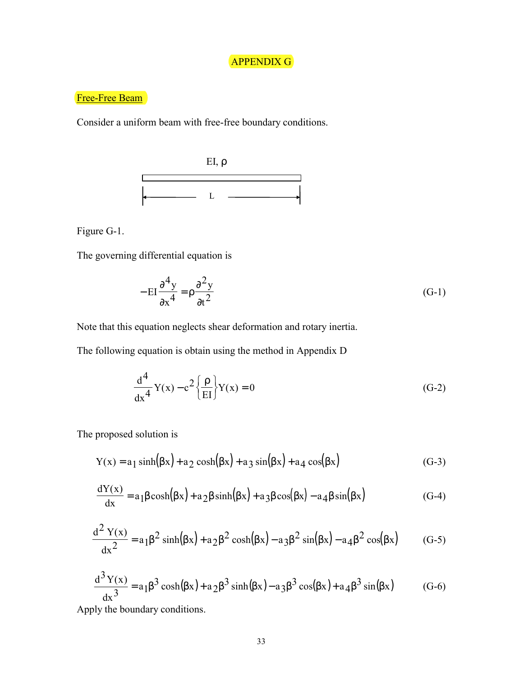## APPENDIX G

## Free-Free Beam

Consider a uniform beam with free-free boundary conditions.



Figure G-1.

The governing differential equation is

$$
-EI\frac{\partial^4 y}{\partial x^4} = \rho \frac{\partial^2 y}{\partial t^2}
$$
 (G-1)

Note that this equation neglects shear deformation and rotary inertia.

The following equation is obtain using the method in Appendix D

$$
\frac{d^4}{dx^4}Y(x) - c^2 \left\{ \frac{\rho}{EI} \right\} Y(x) = 0
$$
 (G-2)

The proposed solution is

$$
Y(x) = a_1 \sinh(\beta x) + a_2 \cosh(\beta x) + a_3 \sin(\beta x) + a_4 \cos(\beta x)
$$
 (G-3)

$$
\frac{dY(x)}{dx} = a_1 \beta \cosh(\beta x) + a_2 \beta \sinh(\beta x) + a_3 \beta \cos(\beta x) - a_4 \beta \sin(\beta x)
$$
 (G-4)

$$
\frac{d^2 Y(x)}{dx^2} = a_1 \beta^2 \sinh(\beta x) + a_2 \beta^2 \cosh(\beta x) - a_3 \beta^2 \sin(\beta x) - a_4 \beta^2 \cos(\beta x) \tag{G-5}
$$

$$
\frac{d^3 Y(x)}{dx^3} = a_1 \beta^3 \cosh(\beta x) + a_2 \beta^3 \sinh(\beta x) - a_3 \beta^3 \cos(\beta x) + a_4 \beta^3 \sin(\beta x)
$$
 (G-6)

Apply the boundary conditions.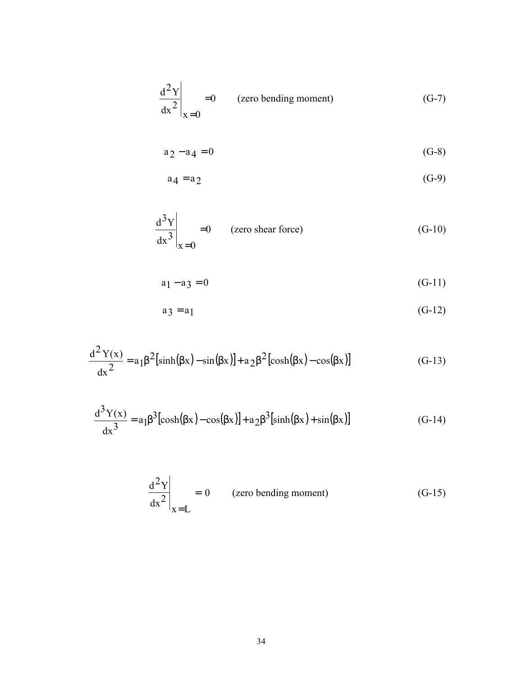$$
\left. \frac{d^2 Y}{dx^2} \right|_{X=0} = 0
$$
 (zero bending moment) (G-7)

$$
a_2 - a_4 = 0 \tag{G-8}
$$

$$
a_4 = a_2 \tag{G-9}
$$

$$
\left. \frac{d^3 Y}{dx^3} \right|_{X=0} = 0
$$
 (zero shear force) (G-10)

$$
a_1 - a_3 = 0 \tag{G-11}
$$

$$
a_3 = a_1 \tag{G-12}
$$

$$
\frac{d^2 Y(x)}{dx^2} = a_1 \beta^2 \left[ \sinh(\beta x) - \sin(\beta x) \right] + a_2 \beta^2 \left[ \cosh(\beta x) - \cos(\beta x) \right] \tag{G-13}
$$

$$
\frac{d^3Y(x)}{dx^3} = a_1\beta^3[\cosh(\beta x) - \cos(\beta x)] + a_2\beta^3[\sinh(\beta x) + \sin(\beta x)]
$$
 (G-14)

$$
\left. \frac{d^2 Y}{dx^2} \right|_{x=L} = 0
$$
 (zero bending moment) (G-15)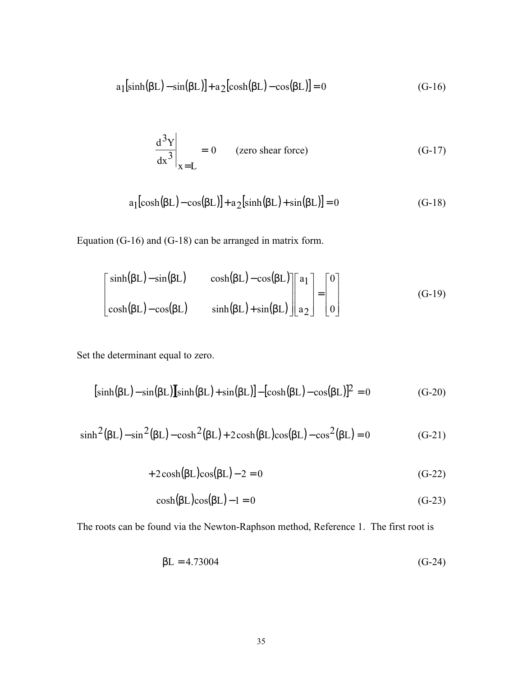$$
a_1[sinh(\beta L) - sin(\beta L)] + a_2[cosh(\beta L) - cos(\beta L)] = 0
$$
\n(G-16)

$$
\left. \frac{d^3 Y}{dx^3} \right|_{x=L} = 0 \qquad \text{(zero shear force)} \tag{G-17}
$$

$$
a_1[\cosh(\beta L) - \cos(\beta L)] + a_2[\sinh(\beta L) + \sin(\beta L)] = 0
$$
 (G-18)

Equation (G-16) and (G-18) can be arranged in matrix form.

$$
\begin{bmatrix}\n\sinh(\beta L) - \sin(\beta L) & \cosh(\beta L) - \cos(\beta L) \\
\cosh(\beta L) - \cos(\beta L) & \sinh(\beta L) + \sin(\beta L)\n\end{bmatrix}\n\begin{bmatrix}\na_1 \\
a_2\n\end{bmatrix}\n=\n\begin{bmatrix}\n0 \\
0\n\end{bmatrix}
$$
\n(G-19)

Set the determinant equal to zero.

$$
[\sinh(\beta L) - \sin(\beta L)][\sinh(\beta L) + \sin(\beta L)] - [\cosh(\beta L) - \cos(\beta L)]^2 = 0
$$
 (G-20)

$$
\sinh^2(\beta L) - \sin^2(\beta L) - \cosh^2(\beta L) + 2\cosh(\beta L)\cos(\beta L) - \cos^2(\beta L) = 0
$$
 (G-21)

$$
+2\cosh(\beta L)\cos(\beta L)-2=0
$$
 (G-22)

$$
\cosh(\beta L)\cos(\beta L) - 1 = 0\tag{G-23}
$$

The roots can be found via the Newton-Raphson method, Reference 1. The first root is

$$
\beta L = 4.73004 \tag{G-24}
$$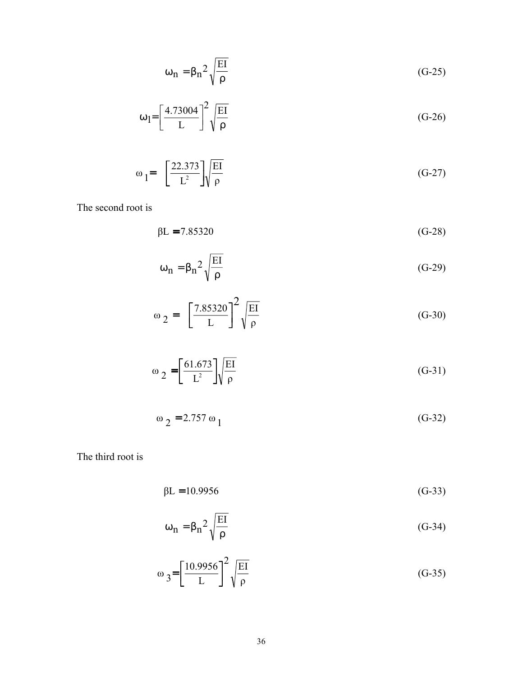$$
\omega_{n} = \beta_{n}^{2} \sqrt{\frac{EI}{\rho}}
$$
 (G-25)

$$
\omega_1 = \left[\frac{4.73004}{L}\right]^2 \sqrt{\frac{EI}{\rho}}
$$
 (G-26)

$$
\omega_1 = \left[\frac{22.373}{L^2}\right] \sqrt{\frac{EI}{\rho}}
$$
\n(G-27)

The second root is

$$
\beta L = 7.85320 \tag{G-28}
$$

$$
\omega_{n} = \beta_{n}^{2} \sqrt{\frac{EI}{\rho}}
$$
 (G-29)

$$
\omega_2 = \left[\frac{7.85320}{L}\right]^2 \sqrt{\frac{EI}{\rho}}
$$
 (G-30)

$$
\omega_2 = \left[\frac{61.673}{L^2}\right] \sqrt{\frac{EI}{\rho}}
$$
 (G-31)

$$
\omega_2 = 2.757 \omega_1 \tag{G-32}
$$

The third root is

$$
\beta L = 10.9956 \tag{G-33}
$$

$$
\omega_{n} = \beta_{n}^{2} \sqrt{\frac{EI}{\rho}}
$$
 (G-34)

$$
\omega_3 = \left[\frac{10.9956}{L}\right]^2 \sqrt{\frac{EI}{\rho}}
$$
 (G-35)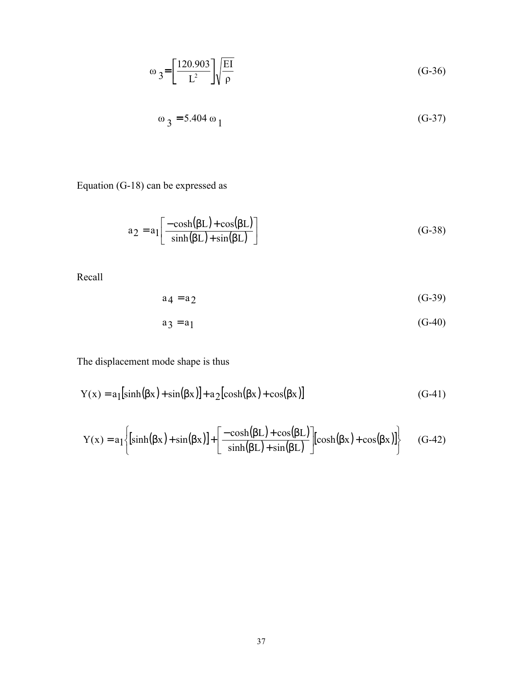$$
\omega_3 = \left[\frac{120.903}{L^2}\right] \sqrt{\frac{EI}{\rho}}
$$
 (G-36)

$$
\omega_3 = 5.404 \omega_1 \tag{G-37}
$$

Equation (G-18) can be expressed as

$$
a_2 = a_1 \left[ \frac{-\cosh(\beta L) + \cos(\beta L)}{\sinh(\beta L) + \sin(\beta L)} \right]
$$
 (G-38)

Recall

$$
a_4 = a_2 \tag{G-39}
$$

$$
a_3 = a_1 \tag{G-40}
$$

The displacement mode shape is thus

$$
Y(x) = a_1[\sinh(\beta x) + \sin(\beta x)] + a_2[\cosh(\beta x) + \cos(\beta x)]
$$
 (G-41)

$$
Y(x) = a_1 \left\{ \left[ \sinh(\beta x) + \sin(\beta x) \right] + \left[ \frac{-\cosh(\beta L) + \cos(\beta L)}{\sinh(\beta L) + \sin(\beta L)} \right] \left[ \cosh(\beta x) + \cos(\beta x) \right] \right\}
$$
 (G-42)